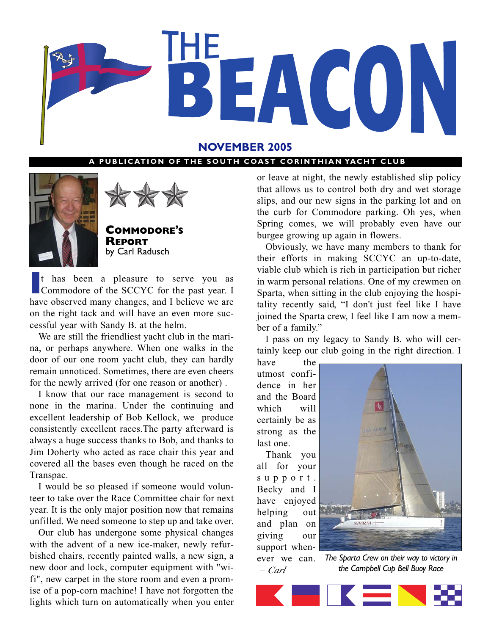

# **NOVEMBER 2005**

## **PUBLICATION OF THE SOUTH COAST CORINTHIAN YACHT CLUB**





**COMMODORE'S REPORT** by Carl Radusch

<sup>1</sup> has been a pleasure to serve you as<br>
Commodore of the SCCYC for the past year. I<br>
have observed many changes, and I believe we are t has been a pleasure to serve you as Commodore of the SCCYC for the past year. I on the right tack and will have an even more successful year with Sandy B. at the helm.

We are still the friendliest yacht club in the marina, or perhaps anywhere. When one walks in the door of our one room yacht club, they can hardly remain unnoticed. Sometimes, there are even cheers for the newly arrived (for one reason or another) .

I know that our race management is second to none in the marina. Under the continuing and excellent leadership of Bob Kellock, we produce consistently excellent races.The party afterward is always a huge success thanks to Bob, and thanks to Jim Doherty who acted as race chair this year and covered all the bases even though he raced on the Transpac.

I would be so pleased if someone would volunteer to take over the Race Committee chair for next year. It is the only major position now that remains unfilled. We need someone to step up and take over.

Our club has undergone some physical changes with the advent of a new ice-maker, newly refurbished chairs, recently painted walls, a new sign, a new door and lock, computer equipment with "wifi", new carpet in the store room and even a promise of a pop-corn machine! I have not forgotten the lights which turn on automatically when you enter or leave at night, the newly established slip policy that allows us to control both dry and wet storage slips, and our new signs in the parking lot and on the curb for Commodore parking. Oh yes, when Spring comes, we will probably even have our burgee growing up again in flowers.

Obviously, we have many members to thank for their efforts in making SCCYC an up-to-date, viable club which is rich in participation but richer in warm personal relations. One of my crewmen on Sparta, when sitting in the club enjoying the hospitality recently said, "I don't just feel like I have joined the Sparta crew, I feel like I am now a member of a family."

I pass on my legacy to Sandy B. who will certainly keep our club going in the right direction. I

have the utmost confidence in her and the Board which will certainly be as strong as the last one.

Thank you all for your support. Becky and I have enjoyed helping out and plan on giving our support whenever we can. *– Carl*



*The Sparta Crew on their way to victory in the Campbell Cup Bell Buoy Race*

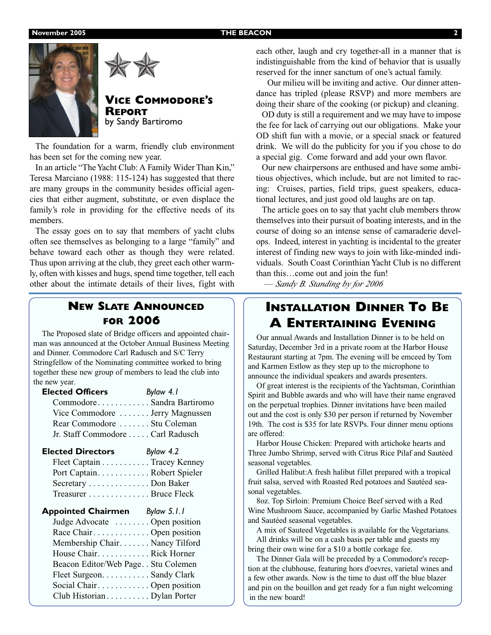



# **VICE COMMODORE'S REPORT** by Sandy Bartiromo

The foundation for a warm, friendly club environment has been set for the coming new year.

In an article "The Yacht Club: A Family Wider Than Kin," Teresa Marciano (1988: 115-124) has suggested that there are many groups in the community besides official agencies that either augment, substitute, or even displace the family's role in providing for the effective needs of its members.

The essay goes on to say that members of yacht clubs often see themselves as belonging to a large "family" and behave toward each other as though they were related. Thus upon arriving at the club, they greet each other warmly, often with kisses and hugs, spend time together, tell each other about the intimate details of their lives, fight with

# **NEW SLATE ANNOUNCED FOR 2006**

The Proposed slate of Bridge officers and appointed chairman was announced at the October Annual Business Meeting and Dinner. Commodore Carl Radusch and S/C Terry Stringfellow of the Nominating committee worked to bring together these new group of members to lead the club into the new year.

| CommodoreSandra Bartiromo       |
|---------------------------------|
| Vice Commodore  Jerry Magnussen |
|                                 |
|                                 |
|                                 |

| <b>Elected Directors</b> | Bylaw 4.2                   |
|--------------------------|-----------------------------|
|                          | Fleet Captain Tracey Kenney |
|                          | Port CaptainRobert Spieler  |
| Secretary Don Baker      |                             |
| Treasurer Bruce Fleck    |                             |

| <b>Appointed Chairmen</b><br>Bylaw 5.1.1 |
|------------------------------------------|
| Judge Advocate  Open position            |
| Race Chair Open position                 |
| Membership Chair. Nancy Tilford          |
| House ChairRick Horner                   |
| Beacon Editor/Web Page. . Stu Colemen    |
| Fleet Surgeon. Sandy Clark               |
| Social Chair Open position               |
| Club HistorianDylan Porter               |
|                                          |

each other, laugh and cry together-all in a manner that is indistinguishable from the kind of behavior that is usually reserved for the inner sanctum of one's actual family.

Our milieu will be inviting and active. Our dinner attendance has tripled (please RSVP) and more members are doing their share of the cooking (or pickup) and cleaning.

OD duty is still a requirement and we may have to impose the fee for lack of carrying out our obligations. Make your OD shift fun with a movie, or a special snack or featured drink. We will do the publicity for you if you chose to do a special gig. Come forward and add your own flavor.

Our new chairpersons are enthused and have some ambitious objectives, which include, but are not limited to racing: Cruises, parties, field trips, guest speakers, educational lectures, and just good old laughs are on tap.

The article goes on to say that yacht club members throw themselves into their pursuit of boating interests, and in the course of doing so an intense sense of camaraderie develops. Indeed, interest in yachting is incidental to the greater interest of finding new ways to join with like-minded individuals. South Coast Corinthian Yacht Club is no different than this…come out and join the fun!

— *Sandy B. Standing by for 2006*

# **INSTALLATION DINNER TO BE A ENTERTAINING EVENING**

Our annual Awards and Installation Dinner is to be held on Saturday, December 3rd in a private room at the Harbor House Restaurant starting at 7pm. The evening will be emceed by Tom and Karmen Estlow as they step up to the microphone to announce the individual speakers and awards presenters.

Of great interest is the recipients of the Yachtsman, Corinthian Spirit and Bubble awards and who will have their name engraved on the perpetual trophies. Dinner invitations have been mailed out and the cost is only \$30 per person if returned by November 19th. The cost is \$35 for late RSVPs. Four dinner menu options are offered:

Harbor House Chicken: Prepared with artichoke hearts and Three Jumbo Shrimp, served with Citrus Rice Pilaf and Sautéed seasonal vegetables.

Grilled Halibut:A fresh halibut fillet prepared with a tropical fruit salsa, served with Roasted Red potatoes and Sautéed seasonal vegetables.

8oz. Top Sirloin: Premium Choice Beef served with a Red Wine Mushroom Sauce, accompanied by Garlic Mashed Potatoes and Sautéed seasonal vegetables.

A mix of Sauteed Vegetables is available for the Vegetarians. All drinks will be on a cash basis per table and guests my bring their own wine for a \$10 a bottle corkage fee.

The Dinner Gala will be preceded by a Commodore's reception at the clubhouse, featuring hors d'oevres, varietal wines and a few other awards. Now is the time to dust off the blue blazer and pin on the bouillon and get ready for a fun night welcoming in the new board!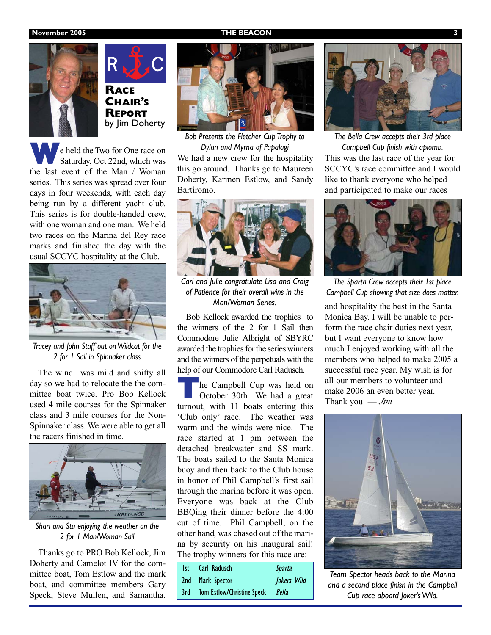### **November 2005 THE BEACON**



**RACE CHAIR'S REPORT** by Jim Doherty

**w**e held the Two for One race on Saturday, Oct 22nd, which was the last event of the Man / Woman series. This series was spread over four days in four weekends, with each day being run by a different yacht club. This series is for double-handed crew, with one woman and one man. We held two races on the Marina del Rey race marks and finished the day with the usual SCCYC hospitality at the Club.



*Tracey and John Staff out on Wildcat for the 2 for 1 Sail in Spinnaker class*

The wind was mild and shifty all day so we had to relocate the the committee boat twice. Pro Bob Kellock used 4 mile courses for the Spinnaker class and 3 mile courses for the Non-Spinnaker class. We were able to get all the racers finished in time.



*Shari and Stu enjoying the weather on the 2 for 1 Man/Woman Sail*

Thanks go to PRO Bob Kellock, Jim Doherty and Camelot IV for the committee boat, Tom Estlow and the mark boat, and committee members Gary Speck, Steve Mullen, and Samantha.



*Bob Presents the Fletcher Cup Trophy to Dylan and Myrna of Papalagi*

We had a new crew for the hospitality this go around. Thanks go to Maureen Doherty, Karmen Estlow, and Sandy Bartiromo.



*Carl and Julie congratulate Lisa and Craig of Patience for their overall wins in the Man/Woman Series.*

Bob Kellock awarded the trophies to the winners of the 2 for 1 Sail then Commodore Julie Albright of SBYRC awarded the trophies for the series winners and the winners of the perpetuals with the help of our Commodore Carl Radusch.

**T**he Campbell Cup was held on<br>October 30th We had a great turnout, with 11 boats entering this 'Club only' race. The weather was warm and the winds were nice. The race started at 1 pm between the detached breakwater and SS mark. The boats sailed to the Santa Monica buoy and then back to the Club house in honor of Phil Campbell's first sail through the marina before it was open. Everyone was back at the Club BBQing their dinner before the 4:00 cut of time. Phil Campbell, on the other hand, was chased out of the marina by security on his inaugural sail! The trophy winners for this race are:

| Ist Carl Radusch               | <i>Sparta</i>      |
|--------------------------------|--------------------|
| 2nd Mark Spector               | <b>Jokers Wild</b> |
| 3rd Tom Estlow/Christine Speck | Bella              |



This was the last race of the year for SCCYC's race committee and I would like to thank everyone who helped and participated to make our races *The Bella Crew accepts their 3rd place Campbell Cup finish with aplomb.*



*The Sparta Crew accepts their 1st place Campbell Cup showing that size does matter.*

and hospitality the best in the Santa Monica Bay. I will be unable to perform the race chair duties next year, but I want everyone to know how much I enjoyed working with all the members who helped to make 2005 a successful race year. My wish is for all our members to volunteer and make 2006 an even better year. Thank you — *Jim*



*Team Spector heads back to the Marina and a second place finish in the Campbell Cup race aboard Joker's Wild.*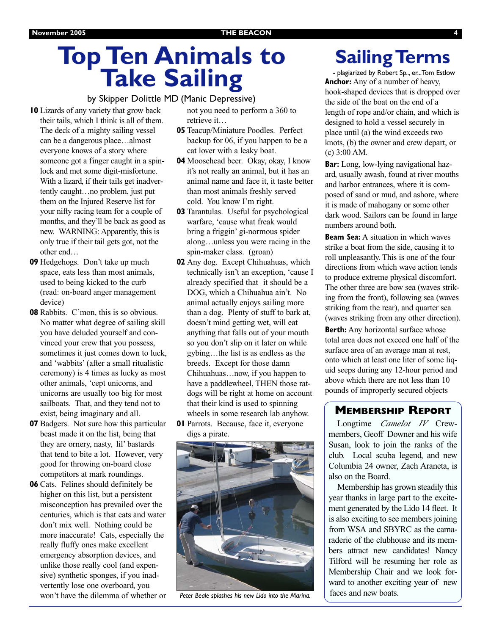# **Top Ten Animals to Take Sailing**

## by Skipper Dolittle MD (Manic Depressive)

**10** Lizards of any variety that grow back their tails, which I think is all of them. The deck of a mighty sailing vessel can be a dangerous place…almost everyone knows of a story where someone got a finger caught in a spinlock and met some digit-misfortune. With a lizard, if their tails get inadvertently caught…no problem, just put them on the Injured Reserve list for your nifty racing team for a couple of months, and they'll be back as good as new. WARNING: Apparently, this is only true if their tail gets got, not the other end…

- **09** Hedgehogs. Don't take up much space, eats less than most animals, used to being kicked to the curb (read: on-board anger management device)
- **08** Rabbits. C'mon, this is so obvious. No matter what degree of sailing skill you have deluded yourself and convinced your crew that you possess, sometimes it just comes down to luck, and 'wabbits' (after a small ritualistic ceremony) is 4 times as lucky as most other animals, 'cept unicorns, and unicorns are usually too big for most sailboats. That, and they tend not to exist, being imaginary and all.
- **07** Badgers. Not sure how this particular beast made it on the list, being that they are ornery, nasty, lil' bastards that tend to bite a lot. However, very good for throwing on-board close competitors at mark roundings.
- **06** Cats. Felines should definitely be higher on this list, but a persistent misconception has prevailed over the centuries, which is that cats and water don't mix well. Nothing could be more inaccurate! Cats, especially the really fluffy ones make excellent emergency absorption devices, and unlike those really cool (and expensive) synthetic sponges, if you inadvertently lose one overboard, you won't have the dilemma of whether or

not you need to perform a 360 to retrieve it…

- **05** Teacup/Miniature Poodles. Perfect backup for 06, if you happen to be a cat lover with a leaky boat.
- **04** Moosehead beer. Okay, okay, I know it's not really an animal, but it has an animal name and face it, it taste better than most animals freshly served cold. You know I'm right.
- **03** Tarantulas. Useful for psychological warfare, 'cause what freak would bring a friggin' gi-normous spider along…unless you were racing in the spin-maker class. (groan)
- **02** Any dog. Except Chihuahuas, which technically isn't an exception, 'cause I already specified that it should be a DOG, which a Chihuahua ain't. No animal actually enjoys sailing more than a dog. Plenty of stuff to bark at, doesn't mind getting wet, will eat anything that falls out of your mouth so you don't slip on it later on while gybing…the list is as endless as the breeds. Except for those damn Chihuahuas…now, if you happen to have a paddlewheel, THEN those ratdogs will be right at home on account that their kind is used to spinning wheels in some research lab anyhow.
- **01** Parrots. Because, face it, everyone digs a pirate.



*Peter Beale splashes his new Lido into the Marina.*

# **Sailing Terms**

- plagiarized by Robert Sp.., er...Tom Estlow **Anchor:** Any of a number of heavy, hook-shaped devices that is dropped over the side of the boat on the end of a length of rope and/or chain, and which is designed to hold a vessel securely in place until (a) the wind exceeds two knots, (b) the owner and crew depart, or (c) 3:00 AM.

**Bar:** Long, low-lying navigational hazard, usually awash, found at river mouths and harbor entrances, where it is composed of sand or mud, and ashore, where it is made of mahogany or some other dark wood. Sailors can be found in large numbers around both.

**Beam Sea:** A situation in which waves strike a boat from the side, causing it to roll unpleasantly. This is one of the four directions from which wave action tends to produce extreme physical discomfort. The other three are bow sea (waves striking from the front), following sea (waves striking from the rear), and quarter sea (waves striking from any other direction).

**Berth:** Any horizontal surface whose total area does not exceed one half of the surface area of an average man at rest, onto which at least one liter of some liquid seeps during any 12-hour period and above which there are not less than 10 pounds of improperly secured objects

# **MEMBERSHIP REPORT**

Longtime *Camelot IV* Crewmembers, Geoff Downer and his wife Susan, look to join the ranks of the club. Local scuba legend, and new Columbia 24 owner, Zach Araneta, is also on the Board.

Membership has grown steadily this year thanks in large part to the excitement generated by the Lido 14 fleet. It is also exciting to see members joining from WSA and SBYRC as the camaraderie of the clubhouse and its members attract new candidates! Nancy Tilford will be resuming her role as Membership Chair and we look forward to another exciting year of new faces and new boats.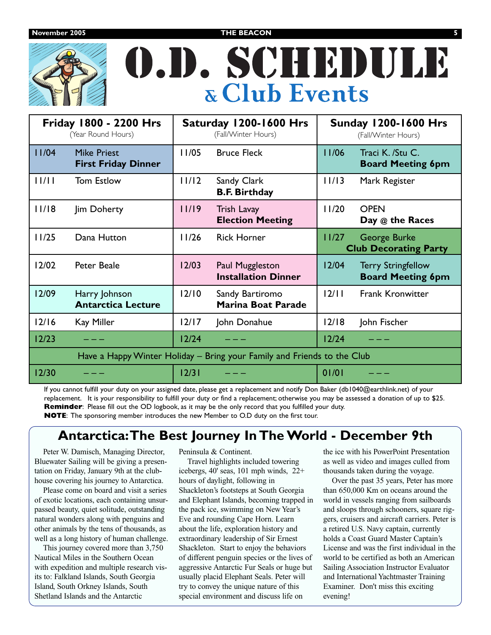

# O.D. SCHEDULE **& Club Events**

| <b>Friday 1800 - 2200 Hrs</b><br>(Year Round Hours)                     |                                                  | Saturday 1200-1600 Hrs<br>(Fall/Winter Hours) |                                               | <b>Sunday 1200-1600 Hrs</b><br>(Fall/Winter Hours) |                                                       |
|-------------------------------------------------------------------------|--------------------------------------------------|-----------------------------------------------|-----------------------------------------------|----------------------------------------------------|-------------------------------------------------------|
| 11/04                                                                   | <b>Mike Priest</b><br><b>First Friday Dinner</b> | 11/05                                         | <b>Bruce Fleck</b>                            | 11/06                                              | Traci K. /Stu C.<br><b>Board Meeting 6pm</b>          |
| 11/11                                                                   | <b>Tom Estlow</b>                                | 11/12                                         | Sandy Clark<br><b>B.F. Birthday</b>           | 11/13                                              | Mark Register                                         |
| 11/18                                                                   | Jim Doherty                                      | 11/19                                         | Trish Lavay<br><b>Election Meeting</b>        | 11/20                                              | <b>OPEN</b><br>Day @ the Races                        |
| 11/25                                                                   | Dana Hutton                                      | 11/26                                         | <b>Rick Horner</b>                            | 11/27                                              | George Burke<br><b>Club Decorating Party</b>          |
| 12/02                                                                   | <b>Peter Beale</b>                               | 12/03                                         | Paul Muggleston<br><b>Installation Dinner</b> | 12/04                                              | <b>Terry Stringfellow</b><br><b>Board Meeting 6pm</b> |
| 12/09                                                                   | Harry Johnson<br><b>Antarctica Lecture</b>       | 12/10                                         | Sandy Bartiromo<br><b>Marina Boat Parade</b>  | 12/11                                              | <b>Frank Kronwitter</b>                               |
| $12/16$                                                                 | Kay Miller                                       | $12/17$                                       | John Donahue                                  | 12/18                                              | John Fischer                                          |
| 12/23                                                                   |                                                  | $12/24$                                       |                                               | $12/24$                                            |                                                       |
| Have a Happy Winter Holiday - Bring your Family and Friends to the Club |                                                  |                                               |                                               |                                                    |                                                       |
| 12/30                                                                   |                                                  | 12/31                                         |                                               | 01/01                                              |                                                       |

If you cannot fulfill your duty on your assigned date, please get a replacement and notify Don Baker (db1040@earthlink.net) of your replacement. It is your responsibility to fulfill your duty or find a replacement; otherwise you may be assessed a donation of up to \$25. **Reminder**: Please fill out the OD logbook, as it may be the only record that you fulfilled your duty.

**NOTE**: The sponsoring member introduces the new Member to O.D duty on the first tour.

# **Antarctica:The Best Journey In The World - December 9th**

Peter W. Damisch, Managing Director, Bluewater Sailing will be giving a presentation on Friday, January 9th at the clubhouse covering his journey to Antarctica.

Please come on board and visit a series of exotic locations, each containing unsurpassed beauty, quiet solitude, outstanding natural wonders along with penguins and other animals by the tens of thousands, as well as a long history of human challenge.

This journey covered more than 3,750 Nautical Miles in the Southern Ocean with expedition and multiple research visits to: Falkland Islands, South Georgia Island, South Orkney Islands, South Shetland Islands and the Antarctic

Peninsula & Continent.

Travel highlights included towering icebergs, 40' seas, 101 mph winds, 22+ hours of daylight, following in Shackleton's footsteps at South Georgia and Elephant Islands, becoming trapped in the pack ice, swimming on New Year's Eve and rounding Cape Horn. Learn about the life, exploration history and extraordinary leadership of Sir Ernest Shackleton. Start to enjoy the behaviors of different penguin species or the lives of aggressive Antarctic Fur Seals or huge but usually placid Elephant Seals. Peter will try to convey the unique nature of this special environment and discuss life on

the ice with his PowerPoint Presentation as well as video and images culled from thousands taken during the voyage.

Over the past 35 years, Peter has more than 650,000 Km on oceans around the world in vessels ranging from sailboards and sloops through schooners, square riggers, cruisers and aircraft carriers. Peter is a retired U.S. Navy captain, currently holds a Coast Guard Master Captain's License and was the first individual in the world to be certified as both an American Sailing Association Instructor Evaluator and International Yachtmaster Training Examiner. Don't miss this exciting evening!